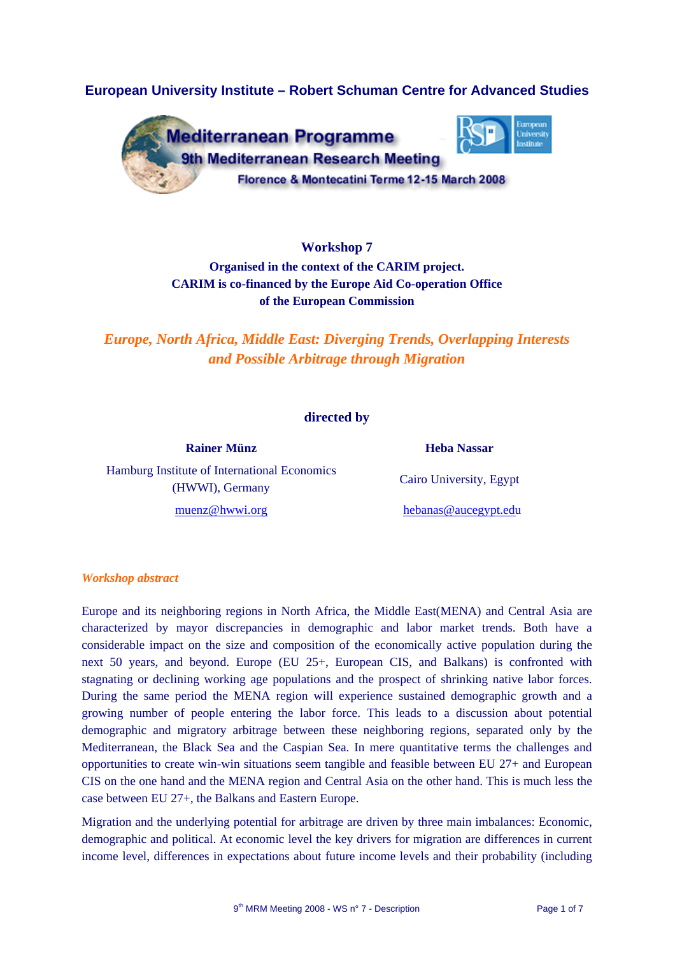# **European University Institute – Robert Schuman Centre for Advanced Studies**



**Workshop 7 Organised in the context of the CARIM project. CARIM is co-financed by the Europe Aid Co-operation Office of the European Commission** 

*Europe, North Africa, Middle East: Diverging Trends, Overlapping Interests and Possible Arbitrage through Migration* 

## **directed by**

**Rainer Münz Heba Nassar** Hamburg Institute of International Economics (HWWI), Germany

Cairo University, Egypt

[muenz@hwwi.org](mailto:muenz@hwwi.org) [hebanas@au](mailto:hebanas@aucegypt.edu)cegypt.edu

#### *Workshop abstract*

Europe and its neighboring regions in North Africa, the Middle East(MENA) and Central Asia are characterized by mayor discrepancies in demographic and labor market trends. Both have a considerable impact on the size and composition of the economically active population during the next 50 years, and beyond. Europe (EU 25+, European CIS, and Balkans) is confronted with stagnating or declining working age populations and the prospect of shrinking native labor forces. During the same period the MENA region will experience sustained demographic growth and a growing number of people entering the labor force. This leads to a discussion about potential demographic and migratory arbitrage between these neighboring regions, separated only by the Mediterranean, the Black Sea and the Caspian Sea. In mere quantitative terms the challenges and opportunities to create win-win situations seem tangible and feasible between EU 27+ and European CIS on the one hand and the MENA region and Central Asia on the other hand. This is much less the case between EU 27+, the Balkans and Eastern Europe.

Migration and the underlying potential for arbitrage are driven by three main imbalances: Economic, demographic and political. At economic level the key drivers for migration are differences in current income level, differences in expectations about future income levels and their probability (including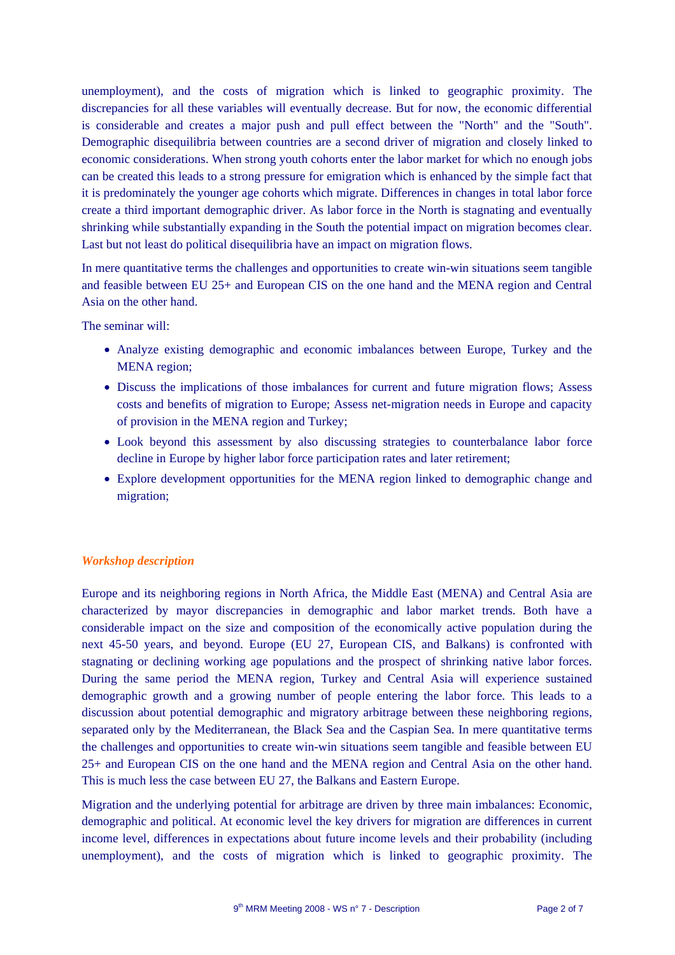unemployment), and the costs of migration which is linked to geographic proximity. The discrepancies for all these variables will eventually decrease. But for now, the economic differential is considerable and creates a major push and pull effect between the "North" and the "South". Demographic disequilibria between countries are a second driver of migration and closely linked to economic considerations. When strong youth cohorts enter the labor market for which no enough jobs can be created this leads to a strong pressure for emigration which is enhanced by the simple fact that it is predominately the younger age cohorts which migrate. Differences in changes in total labor force create a third important demographic driver. As labor force in the North is stagnating and eventually shrinking while substantially expanding in the South the potential impact on migration becomes clear. Last but not least do political disequilibria have an impact on migration flows.

In mere quantitative terms the challenges and opportunities to create win-win situations seem tangible and feasible between EU 25+ and European CIS on the one hand and the MENA region and Central Asia on the other hand.

The seminar will:

- Analyze existing demographic and economic imbalances between Europe, Turkey and the MENA region;
- Discuss the implications of those imbalances for current and future migration flows; Assess costs and benefits of migration to Europe; Assess net-migration needs in Europe and capacity of provision in the MENA region and Turkey;
- Look beyond this assessment by also discussing strategies to counterbalance labor force decline in Europe by higher labor force participation rates and later retirement;
- Explore development opportunities for the MENA region linked to demographic change and migration;

## *Workshop description*

Europe and its neighboring regions in North Africa, the Middle East (MENA) and Central Asia are characterized by mayor discrepancies in demographic and labor market trends. Both have a considerable impact on the size and composition of the economically active population during the next 45-50 years, and beyond. Europe (EU 27, European CIS, and Balkans) is confronted with stagnating or declining working age populations and the prospect of shrinking native labor forces. During the same period the MENA region, Turkey and Central Asia will experience sustained demographic growth and a growing number of people entering the labor force. This leads to a discussion about potential demographic and migratory arbitrage between these neighboring regions, separated only by the Mediterranean, the Black Sea and the Caspian Sea. In mere quantitative terms the challenges and opportunities to create win-win situations seem tangible and feasible between EU 25+ and European CIS on the one hand and the MENA region and Central Asia on the other hand. This is much less the case between EU 27, the Balkans and Eastern Europe.

Migration and the underlying potential for arbitrage are driven by three main imbalances: Economic, demographic and political. At economic level the key drivers for migration are differences in current income level, differences in expectations about future income levels and their probability (including unemployment), and the costs of migration which is linked to geographic proximity. The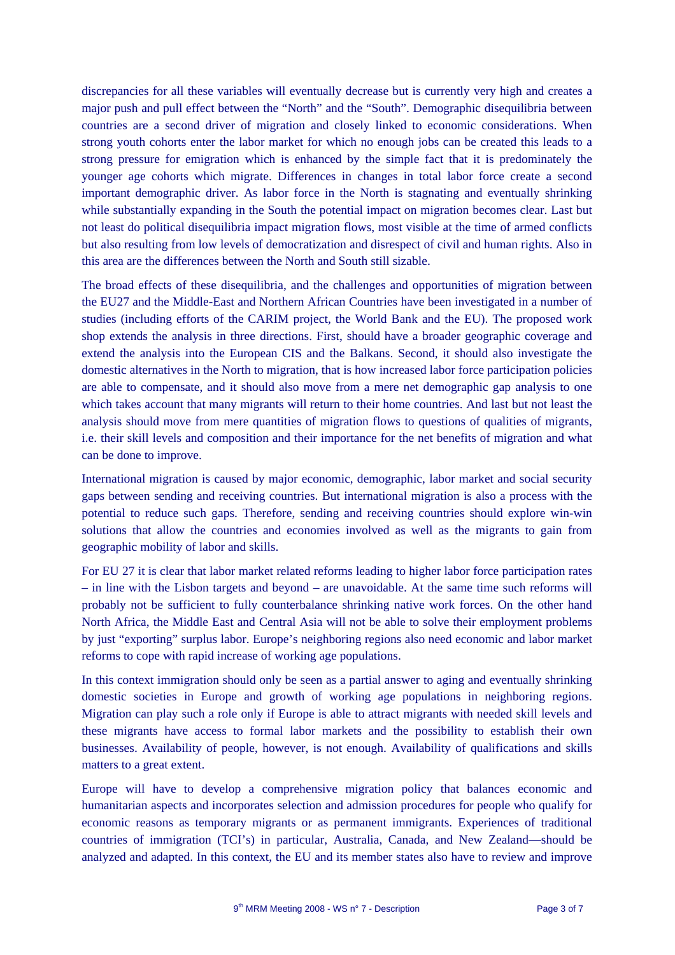discrepancies for all these variables will eventually decrease but is currently very high and creates a major push and pull effect between the "North" and the "South". Demographic disequilibria between countries are a second driver of migration and closely linked to economic considerations. When strong youth cohorts enter the labor market for which no enough jobs can be created this leads to a strong pressure for emigration which is enhanced by the simple fact that it is predominately the younger age cohorts which migrate. Differences in changes in total labor force create a second important demographic driver. As labor force in the North is stagnating and eventually shrinking while substantially expanding in the South the potential impact on migration becomes clear. Last but not least do political disequilibria impact migration flows, most visible at the time of armed conflicts but also resulting from low levels of democratization and disrespect of civil and human rights. Also in this area are the differences between the North and South still sizable.

The broad effects of these disequilibria, and the challenges and opportunities of migration between the EU27 and the Middle-East and Northern African Countries have been investigated in a number of studies (including efforts of the CARIM project, the World Bank and the EU). The proposed work shop extends the analysis in three directions. First, should have a broader geographic coverage and extend the analysis into the European CIS and the Balkans. Second, it should also investigate the domestic alternatives in the North to migration, that is how increased labor force participation policies are able to compensate, and it should also move from a mere net demographic gap analysis to one which takes account that many migrants will return to their home countries. And last but not least the analysis should move from mere quantities of migration flows to questions of qualities of migrants, i.e. their skill levels and composition and their importance for the net benefits of migration and what can be done to improve.

International migration is caused by major economic, demographic, labor market and social security gaps between sending and receiving countries. But international migration is also a process with the potential to reduce such gaps. Therefore, sending and receiving countries should explore win-win solutions that allow the countries and economies involved as well as the migrants to gain from geographic mobility of labor and skills.

For EU 27 it is clear that labor market related reforms leading to higher labor force participation rates – in line with the Lisbon targets and beyond – are unavoidable. At the same time such reforms will probably not be sufficient to fully counterbalance shrinking native work forces. On the other hand North Africa, the Middle East and Central Asia will not be able to solve their employment problems by just "exporting" surplus labor. Europe's neighboring regions also need economic and labor market reforms to cope with rapid increase of working age populations.

In this context immigration should only be seen as a partial answer to aging and eventually shrinking domestic societies in Europe and growth of working age populations in neighboring regions. Migration can play such a role only if Europe is able to attract migrants with needed skill levels and these migrants have access to formal labor markets and the possibility to establish their own businesses. Availability of people, however, is not enough. Availability of qualifications and skills matters to a great extent.

Europe will have to develop a comprehensive migration policy that balances economic and humanitarian aspects and incorporates selection and admission procedures for people who qualify for economic reasons as temporary migrants or as permanent immigrants. Experiences of traditional countries of immigration (TCI's) in particular, Australia, Canada, and New Zealand—should be analyzed and adapted. In this context, the EU and its member states also have to review and improve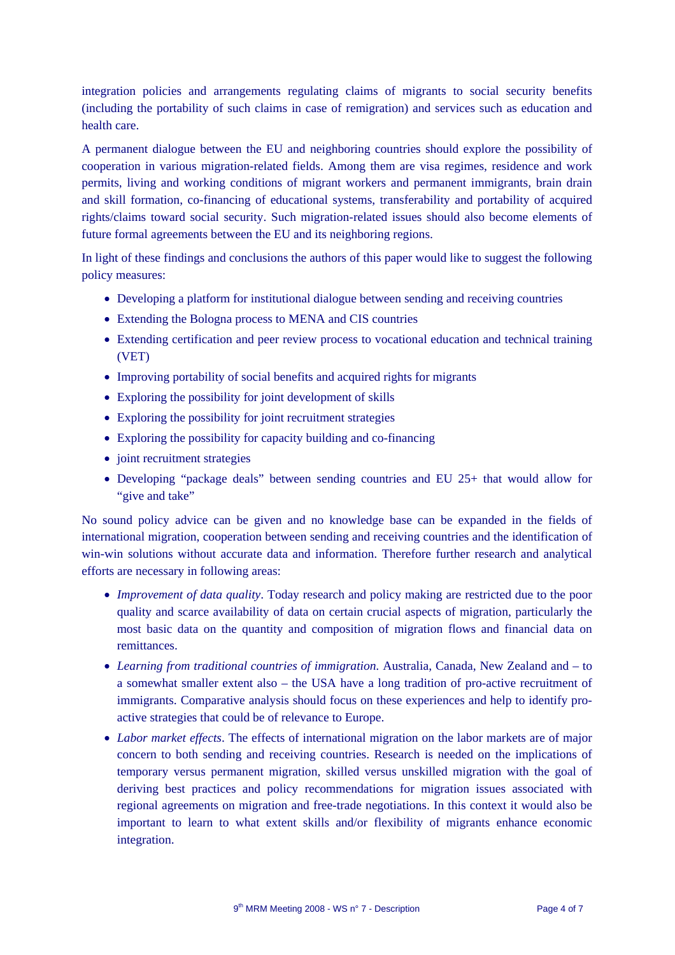integration policies and arrangements regulating claims of migrants to social security benefits (including the portability of such claims in case of remigration) and services such as education and health care.

A permanent dialogue between the EU and neighboring countries should explore the possibility of cooperation in various migration-related fields. Among them are visa regimes, residence and work permits, living and working conditions of migrant workers and permanent immigrants, brain drain and skill formation, co-financing of educational systems, transferability and portability of acquired rights/claims toward social security. Such migration-related issues should also become elements of future formal agreements between the EU and its neighboring regions.

In light of these findings and conclusions the authors of this paper would like to suggest the following policy measures:

- Developing a platform for institutional dialogue between sending and receiving countries
- Extending the Bologna process to MENA and CIS countries
- Extending certification and peer review process to vocational education and technical training (VET)
- Improving portability of social benefits and acquired rights for migrants
- Exploring the possibility for joint development of skills
- Exploring the possibility for joint recruitment strategies
- Exploring the possibility for capacity building and co-financing
- joint recruitment strategies
- Developing "package deals" between sending countries and EU 25+ that would allow for "give and take"

No sound policy advice can be given and no knowledge base can be expanded in the fields of international migration, cooperation between sending and receiving countries and the identification of win-win solutions without accurate data and information. Therefore further research and analytical efforts are necessary in following areas:

- *Improvement of data quality*. Today research and policy making are restricted due to the poor quality and scarce availability of data on certain crucial aspects of migration, particularly the most basic data on the quantity and composition of migration flows and financial data on remittances.
- *Learning from traditional countries of immigration.* Australia, Canada, New Zealand and to a somewhat smaller extent also – the USA have a long tradition of pro-active recruitment of immigrants. Comparative analysis should focus on these experiences and help to identify proactive strategies that could be of relevance to Europe.
- *Labor market effects*. The effects of international migration on the labor markets are of major concern to both sending and receiving countries. Research is needed on the implications of temporary versus permanent migration, skilled versus unskilled migration with the goal of deriving best practices and policy recommendations for migration issues associated with regional agreements on migration and free-trade negotiations. In this context it would also be important to learn to what extent skills and/or flexibility of migrants enhance economic integration.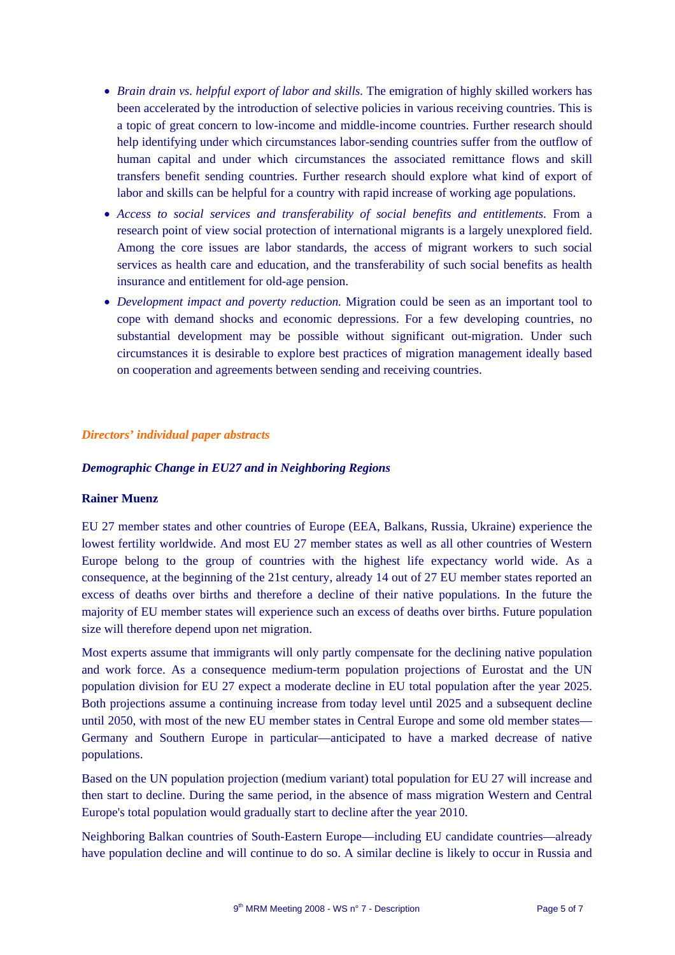- *Brain drain vs. helpful export of labor and skills.* The emigration of highly skilled workers has been accelerated by the introduction of selective policies in various receiving countries. This is a topic of great concern to low-income and middle-income countries. Further research should help identifying under which circumstances labor-sending countries suffer from the outflow of human capital and under which circumstances the associated remittance flows and skill transfers benefit sending countries. Further research should explore what kind of export of labor and skills can be helpful for a country with rapid increase of working age populations.
- *Access to social services and transferability of social benefits and entitlements*. From a research point of view social protection of international migrants is a largely unexplored field. Among the core issues are labor standards, the access of migrant workers to such social services as health care and education, and the transferability of such social benefits as health insurance and entitlement for old-age pension.
- *Development impact and poverty reduction.* Migration could be seen as an important tool to cope with demand shocks and economic depressions. For a few developing countries, no substantial development may be possible without significant out-migration. Under such circumstances it is desirable to explore best practices of migration management ideally based on cooperation and agreements between sending and receiving countries.

## *Directors' individual paper abstracts*

#### *Demographic Change in EU27 and in Neighboring Regions*

#### **Rainer Muenz**

EU 27 member states and other countries of Europe (EEA, Balkans, Russia, Ukraine) experience the lowest fertility worldwide. And most EU 27 member states as well as all other countries of Western Europe belong to the group of countries with the highest life expectancy world wide. As a consequence, at the beginning of the 21st century, already 14 out of 27 EU member states reported an excess of deaths over births and therefore a decline of their native populations. In the future the majority of EU member states will experience such an excess of deaths over births. Future population size will therefore depend upon net migration.

Most experts assume that immigrants will only partly compensate for the declining native population and work force. As a consequence medium-term population projections of Eurostat and the UN population division for EU 27 expect a moderate decline in EU total population after the year 2025. Both projections assume a continuing increase from today level until 2025 and a subsequent decline until 2050, with most of the new EU member states in Central Europe and some old member states— Germany and Southern Europe in particular—anticipated to have a marked decrease of native populations.

Based on the UN population projection (medium variant) total population for EU 27 will increase and then start to decline. During the same period, in the absence of mass migration Western and Central Europe's total population would gradually start to decline after the year 2010.

Neighboring Balkan countries of South-Eastern Europe—including EU candidate countries—already have population decline and will continue to do so. A similar decline is likely to occur in Russia and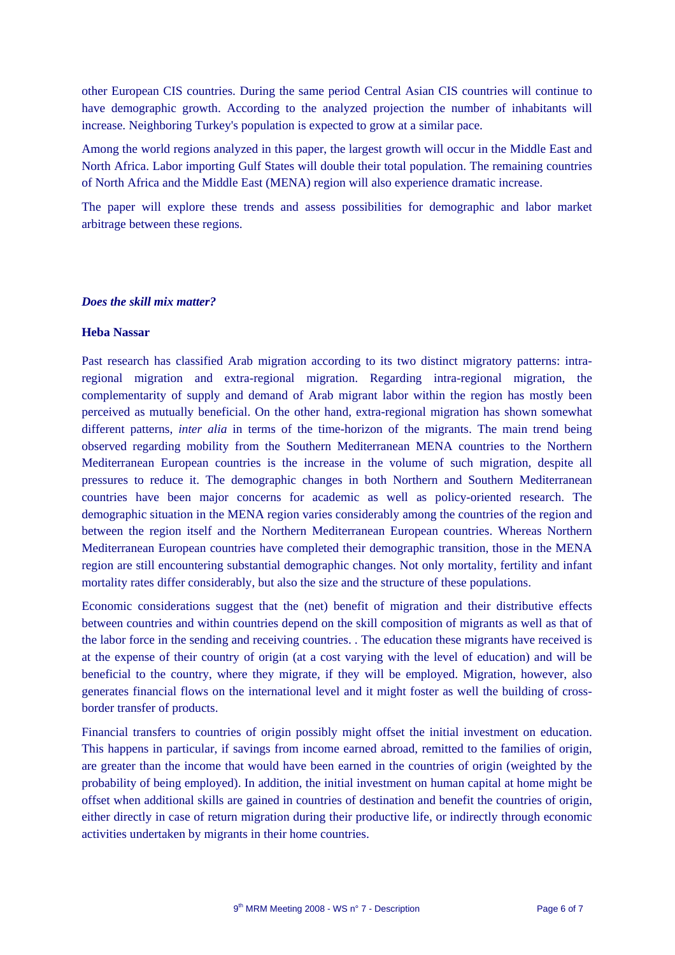other European CIS countries. During the same period Central Asian CIS countries will continue to have demographic growth. According to the analyzed projection the number of inhabitants will increase. Neighboring Turkey's population is expected to grow at a similar pace.

Among the world regions analyzed in this paper, the largest growth will occur in the Middle East and North Africa. Labor importing Gulf States will double their total population. The remaining countries of North Africa and the Middle East (MENA) region will also experience dramatic increase.

The paper will explore these trends and assess possibilities for demographic and labor market arbitrage between these regions.

#### *Does the skill mix matter?*

### **Heba Nassar**

Past research has classified Arab migration according to its two distinct migratory patterns: intraregional migration and extra-regional migration. Regarding intra-regional migration, the complementarity of supply and demand of Arab migrant labor within the region has mostly been perceived as mutually beneficial. On the other hand, extra-regional migration has shown somewhat different patterns, *inter alia* in terms of the time-horizon of the migrants. The main trend being observed regarding mobility from the Southern Mediterranean MENA countries to the Northern Mediterranean European countries is the increase in the volume of such migration, despite all pressures to reduce it. The demographic changes in both Northern and Southern Mediterranean countries have been major concerns for academic as well as policy-oriented research. The demographic situation in the MENA region varies considerably among the countries of the region and between the region itself and the Northern Mediterranean European countries. Whereas Northern Mediterranean European countries have completed their demographic transition, those in the MENA region are still encountering substantial demographic changes. Not only mortality, fertility and infant mortality rates differ considerably, but also the size and the structure of these populations.

Economic considerations suggest that the (net) benefit of migration and their distributive effects between countries and within countries depend on the skill composition of migrants as well as that of the labor force in the sending and receiving countries. . The education these migrants have received is at the expense of their country of origin (at a cost varying with the level of education) and will be beneficial to the country, where they migrate, if they will be employed. Migration, however, also generates financial flows on the international level and it might foster as well the building of crossborder transfer of products.

Financial transfers to countries of origin possibly might offset the initial investment on education. This happens in particular, if savings from income earned abroad, remitted to the families of origin, are greater than the income that would have been earned in the countries of origin (weighted by the probability of being employed). In addition, the initial investment on human capital at home might be offset when additional skills are gained in countries of destination and benefit the countries of origin, either directly in case of return migration during their productive life, or indirectly through economic activities undertaken by migrants in their home countries.